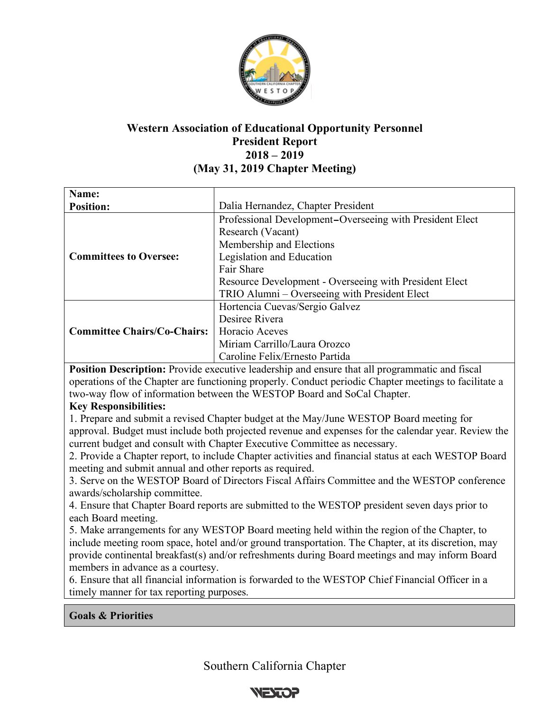

# **Western Association of Educational Opportunity Personnel President Report 2018 – 2019 (May 31, 2019 Chapter Meeting)**

| Name:                              |                                                          |
|------------------------------------|----------------------------------------------------------|
| <b>Position:</b>                   | Dalia Hernandez, Chapter President                       |
|                                    | Professional Development–Overseeing with President Elect |
|                                    | Research (Vacant)                                        |
|                                    | Membership and Elections                                 |
| <b>Committees to Oversee:</b>      | Legislation and Education                                |
|                                    | Fair Share                                               |
|                                    | Resource Development - Overseeing with President Elect   |
|                                    | TRIO Alumni – Overseeing with President Elect            |
|                                    | Hortencia Cuevas/Sergio Galvez                           |
|                                    | Desiree Rivera                                           |
| <b>Committee Chairs/Co-Chairs:</b> | Horacio Aceves                                           |
|                                    | Miriam Carrillo/Laura Orozco                             |
|                                    | Caroline Felix/Ernesto Partida                           |

**Position Description:** Provide executive leadership and ensure that all programmatic and fiscal operations of the Chapter are functioning properly. Conduct periodic Chapter meetings to facilitate a two-way flow of information between the WESTOP Board and SoCal Chapter.

## **Key Responsibilities:**

1. Prepare and submit a revised Chapter budget at the May/June WESTOP Board meeting for approval. Budget must include both projected revenue and expenses for the calendar year. Review the current budget and consult with Chapter Executive Committee as necessary.

2. Provide a Chapter report, to include Chapter activities and financial status at each WESTOP Board meeting and submit annual and other reports as required.

3. Serve on the WESTOP Board of Directors Fiscal Affairs Committee and the WESTOP conference awards/scholarship committee.

4. Ensure that Chapter Board reports are submitted to the WESTOP president seven days prior to each Board meeting.

5. Make arrangements for any WESTOP Board meeting held within the region of the Chapter, to include meeting room space, hotel and/or ground transportation. The Chapter, at its discretion, may provide continental breakfast(s) and/or refreshments during Board meetings and may inform Board members in advance as a courtesy.

6. Ensure that all financial information is forwarded to the WESTOP Chief Financial Officer in a timely manner for tax reporting purposes.

## **Goals & Priorities**

Southern California Chapter

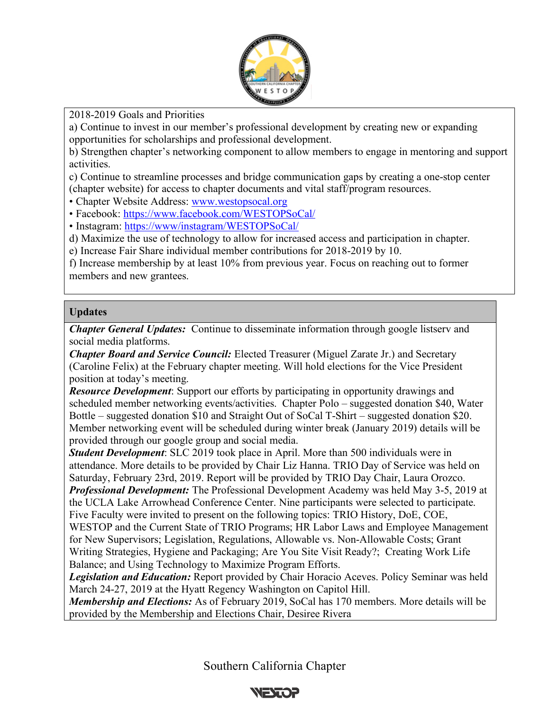

2018-2019 Goals and Priorities

a) Continue to invest in our member's professional development by creating new or expanding opportunities for scholarships and professional development.

b) Strengthen chapter's networking component to allow members to engage in mentoring and support activities.

c) Continue to streamline processes and bridge communication gaps by creating a one-stop center (chapter website) for access to chapter documents and vital staff/program resources.

• Chapter Website Address: www.westopsocal.org

• Facebook: https://www.facebook.com/WESTOPSoCal/

• Instagram: https://www/instagram/WESTOPSoCal/

d) Maximize the use of technology to allow for increased access and participation in chapter.

e) Increase Fair Share individual member contributions for 2018-2019 by 10.

f) Increase membership by at least 10% from previous year. Focus on reaching out to former members and new grantees.

#### **Updates**

*Chapter General Updates:* Continue to disseminate information through google listserv and social media platforms.

*Chapter Board and Service Council:* Elected Treasurer (Miguel Zarate Jr.) and Secretary (Caroline Felix) at the February chapter meeting. Will hold elections for the Vice President position at today's meeting.

*Resource Development*: Support our efforts by participating in opportunity drawings and scheduled member networking events/activities. Chapter Polo – suggested donation \$40, Water Bottle – suggested donation \$10 and Straight Out of SoCal T-Shirt – suggested donation \$20. Member networking event will be scheduled during winter break (January 2019) details will be provided through our google group and social media.

*Student Development*: SLC 2019 took place in April. More than 500 individuals were in attendance. More details to be provided by Chair Liz Hanna. TRIO Day of Service was held on Saturday, February 23rd, 2019. Report will be provided by TRIO Day Chair, Laura Orozco. *Professional Development:* The Professional Development Academy was held May 3-5, 2019 at the UCLA Lake Arrowhead Conference Center. Nine participants were selected to participate. Five Faculty were invited to present on the following topics: TRIO History, DoE, COE, WESTOP and the Current State of TRIO Programs; HR Labor Laws and Employee Management for New Supervisors; Legislation, Regulations, Allowable vs. Non-Allowable Costs; Grant Writing Strategies, Hygiene and Packaging; Are You Site Visit Ready?; Creating Work Life Balance; and Using Technology to Maximize Program Efforts.

*Legislation and Education:* Report provided by Chair Horacio Aceves. Policy Seminar was held March 24-27, 2019 at the Hyatt Regency Washington on Capitol Hill.

*Membership and Elections:* As of February 2019, SoCal has 170 members. More details will be provided by the Membership and Elections Chair, Desiree Rivera

Southern California Chapter